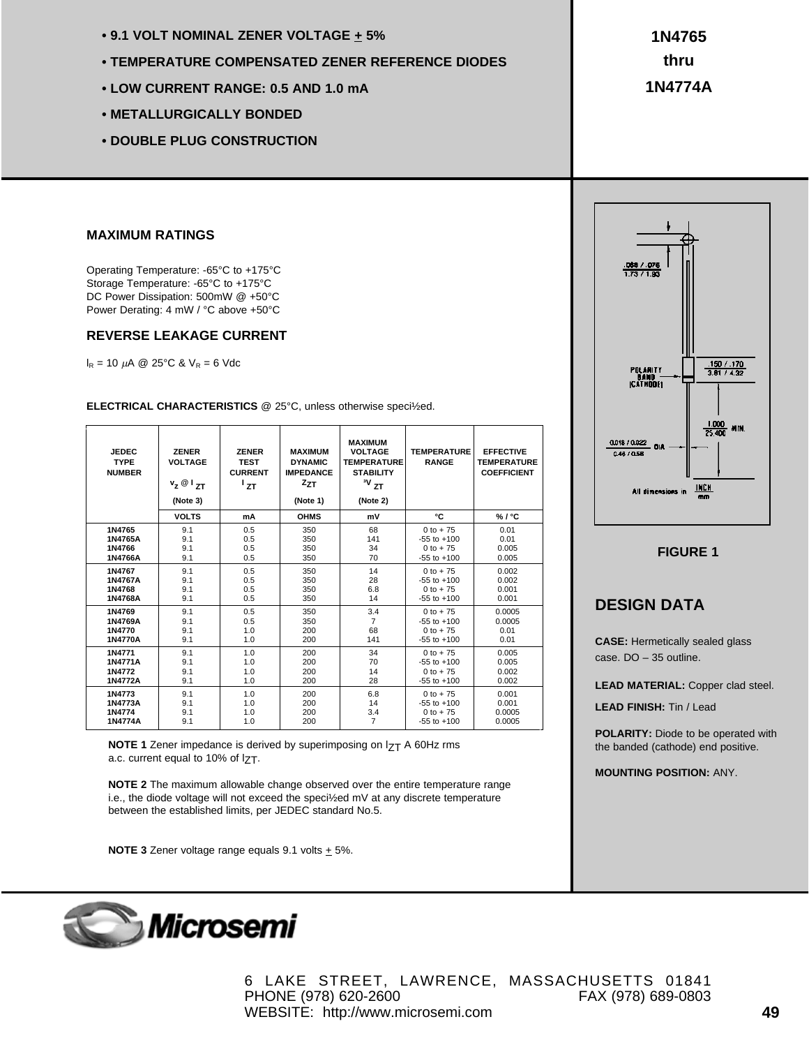- **9.1 VOLT NOMINAL ZENER VOLTAGE + 5%**
- **TEMPERATURE COMPENSATED ZENER REFERENCE DIODES**
- **LOW CURRENT RANGE: 0.5 AND 1.0 mA**
- **METALLURGICALLY BONDED**
- **DOUBLE PLUG CONSTRUCTION**

**1N4765 thru 1N4774A**

#### **MAXIMUM RATINGS**

Operating Temperature: -65°C to +175°C Storage Temperature: -65°C to +175°C DC Power Dissipation: 500mW @ +50°C Power Derating: 4 mW / °C above +50°C

## **REVERSE LEAKAGE CURRENT**

 $I_R = 10 \mu A \ @ 25^{\circ}C \& V_R = 6 \text{ Vdc}$ 

**ELECTRICAL CHARACTERISTICS** @ 25°C, unless otherwise speci½ed.

| <b>JEDEC</b><br><b>TYPE</b><br><b>NUMBER</b> | <b>ZENER</b><br><b>VOLTAGE</b><br>$v_z \otimes I_{ZT}$<br>(Note 3) | <b>ZENER</b><br><b>TEST</b><br><b>CURRENT</b><br>$^1$ zt | <b>MAXIMUM</b><br><b>DYNAMIC</b><br><b>IMPEDANCE</b><br>$z_{ZT}$<br>(Note 1) | <b>MAXIMUM</b><br><b>VOLTAGE</b><br><b>TEMPERATURE</b><br><b>STABILITY</b><br>$\boldsymbol{v}_{\text{ZT}}$<br>(Note 2) | <b>TEMPERATURE</b><br><b>RANGE</b> | <b>EFFECTIVE</b><br><b>TEMPERATURE</b><br><b>COEFFICIENT</b> |
|----------------------------------------------|--------------------------------------------------------------------|----------------------------------------------------------|------------------------------------------------------------------------------|------------------------------------------------------------------------------------------------------------------------|------------------------------------|--------------------------------------------------------------|
|                                              | <b>VOLTS</b>                                                       | mA                                                       | <b>OHMS</b>                                                                  | mV                                                                                                                     | ۰c                                 | %1°C                                                         |
| 1N4765                                       | 9.1                                                                | 0.5                                                      | 350                                                                          | 68                                                                                                                     | $0 to + 75$                        | 0.01                                                         |
| 1N4765A                                      | 9.1                                                                | 0.5                                                      | 350                                                                          | 141                                                                                                                    | $-55$ to $+100$                    | 0.01                                                         |
| 1N4766                                       | 9.1                                                                | 0.5                                                      | 350                                                                          | 34                                                                                                                     | $0 to + 75$                        | 0.005                                                        |
| 1N4766A                                      | 9.1                                                                | 0.5                                                      | 350                                                                          | 70                                                                                                                     | $-55$ to $+100$                    | 0.005                                                        |
| 1N4767                                       | 9.1                                                                | 0.5                                                      | 350                                                                          | 14                                                                                                                     | $0 to + 75$                        | 0.002                                                        |
| 1N4767A                                      | 9.1                                                                | 0.5                                                      | 350                                                                          | 28                                                                                                                     | $-55$ to $+100$                    | 0.002                                                        |
| 1N4768                                       | 9.1                                                                | 0.5                                                      | 350                                                                          | 6.8                                                                                                                    | $0$ to $+75$                       | 0.001                                                        |
| 1N4768A                                      | 9.1                                                                | 0.5                                                      | 350                                                                          | 14                                                                                                                     | $-55$ to $+100$                    | 0.001                                                        |
| 1N4769                                       | 9.1                                                                | 0.5                                                      | 350                                                                          | 3.4                                                                                                                    | $0 to + 75$                        | 0.0005                                                       |
| 1N4769A                                      | 9.1                                                                | 0.5                                                      | 350                                                                          | $\overline{7}$                                                                                                         | $-55$ to $+100$                    | 0.0005                                                       |
| 1N4770                                       | 9.1                                                                | 1.0                                                      | 200                                                                          | 68                                                                                                                     | $0 to + 75$                        | 0.01                                                         |
| 1N4770A                                      | 9.1                                                                | 1.0                                                      | 200                                                                          | 141                                                                                                                    | $-55$ to $+100$                    | 0.01                                                         |
| 1N4771                                       | 9.1                                                                | 1.0                                                      | 200                                                                          | 34                                                                                                                     | $0$ to $+75$                       | 0.005                                                        |
| 1N4771A                                      | 9.1                                                                | 1.0                                                      | 200                                                                          | 70                                                                                                                     | $-55$ to $+100$                    | 0.005                                                        |
| 1N4772                                       | 9.1                                                                | 1.0                                                      | 200                                                                          | 14                                                                                                                     | $0$ to +75                         | 0.002                                                        |
| 1N4772A                                      | 9.1                                                                | 1.0                                                      | 200                                                                          | 28                                                                                                                     | $-55$ to $+100$                    | 0.002                                                        |
| 1N4773                                       | 9.1                                                                | 1.0                                                      | 200                                                                          | 6.8                                                                                                                    | $0 to + 75$                        | 0.001                                                        |
| 1N4773A                                      | 9.1                                                                | 1.0                                                      | 200                                                                          | 14                                                                                                                     | $-55$ to $+100$                    | 0.001                                                        |
| 1N4774                                       | 9.1                                                                | 1.0                                                      | 200                                                                          | 3.4                                                                                                                    | $0 to + 75$                        | 0.0005                                                       |
| 1N4774A                                      | 9.1                                                                | 1.0                                                      | 200                                                                          | $\overline{7}$                                                                                                         | $-55$ to $+100$                    | 0.0005                                                       |

**NOTE 1** Zener impedance is derived by superimposing on I<sub>ZT</sub> A 60Hz rms a.c. current equal to 10% of  $I$  $T$ .

**NOTE 2** The maximum allowable change observed over the entire temperature range i.e., the diode voltage will not exceed the speci½ed mV at any discrete temperature between the established limits, per JEDEC standard No.5.

**NOTE 3** Zener voltage range equals  $9.1$  volts  $\pm$  5%.



## **FIGURE 1**

## **DESIGN DATA**

**CASE:** Hermetically sealed glass case. DO – 35 outline.

**LEAD MATERIAL:** Copper clad steel.

**LEAD FINISH:** Tin / Lead

**POLARITY:** Diode to be operated with the banded (cathode) end positive.

**MOUNTING POSITION:** ANY.



6 LAKE STREET, LAWRENCE, MASSACHUSETTS 01841 PHONE (978) 620-2600 FAX (978) 689-0803 WEBSITE: http://www.microsemi.com **49**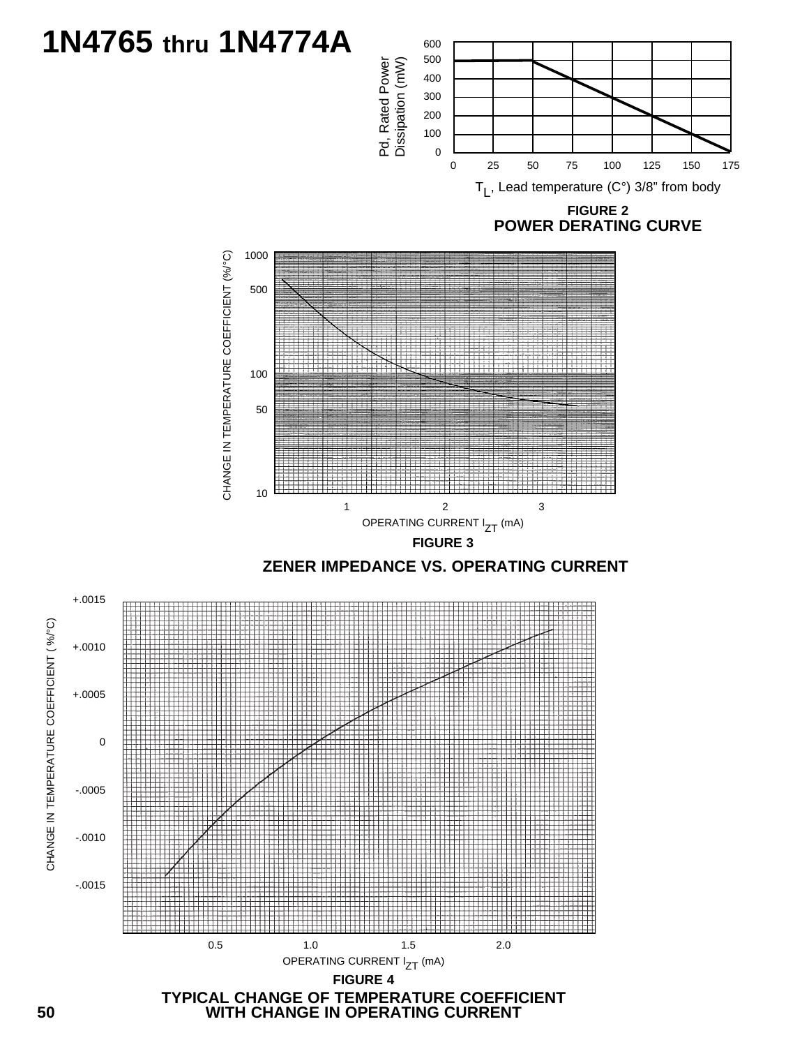# **1N4765 thru 1N4774A**





**FIGURE 4**

+.0015

+.0010

+.0005

CHANGE IN TEMPERATURE COEFFICIENT ( %/°C)

CHANGE IN TEMPERATURE COEFFICIENT (%/°C)

-.0005

-.0010

-.0015

0